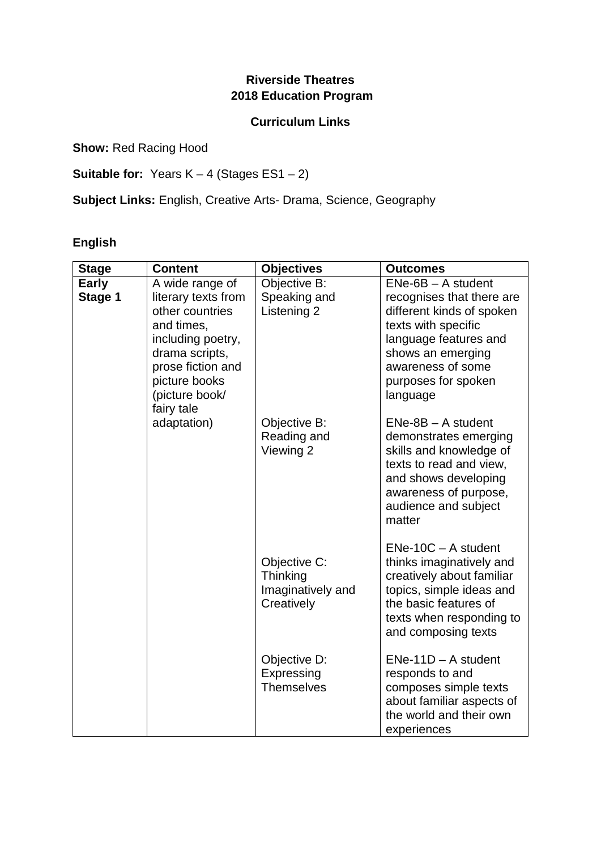## **Riverside Theatres 2018 Education Program**

#### **Curriculum Links**

**Show: Red Racing Hood** 

**Suitable for:** Years K – 4 (Stages ES1 – 2)

**Subject Links:** English, Creative Arts- Drama, Science, Geography

# **English**

| <b>Stage</b>            | <b>Content</b>                                                                                                                                                                       | <b>Objectives</b>                                           | <b>Outcomes</b>                                                                                                                                                                                             |
|-------------------------|--------------------------------------------------------------------------------------------------------------------------------------------------------------------------------------|-------------------------------------------------------------|-------------------------------------------------------------------------------------------------------------------------------------------------------------------------------------------------------------|
| <b>Early</b><br>Stage 1 | A wide range of<br>literary texts from<br>other countries<br>and times,<br>including poetry,<br>drama scripts,<br>prose fiction and<br>picture books<br>(picture book/<br>fairy tale | Objective B:<br>Speaking and<br>Listening 2                 | $ENe-6B - A student$<br>recognises that there are<br>different kinds of spoken<br>texts with specific<br>language features and<br>shows an emerging<br>awareness of some<br>purposes for spoken<br>language |
|                         | adaptation)                                                                                                                                                                          | Objective B:<br>Reading and<br>Viewing 2                    | $ENe-8B - A student$<br>demonstrates emerging<br>skills and knowledge of<br>texts to read and view,<br>and shows developing<br>awareness of purpose,<br>audience and subject<br>matter                      |
|                         |                                                                                                                                                                                      | Objective C:<br>Thinking<br>Imaginatively and<br>Creatively | $ENe-10C - A student$<br>thinks imaginatively and<br>creatively about familiar<br>topics, simple ideas and<br>the basic features of<br>texts when responding to<br>and composing texts                      |
|                         |                                                                                                                                                                                      | Objective D:<br>Expressing<br><b>Themselves</b>             | $ENe-11D - A student$<br>responds to and<br>composes simple texts<br>about familiar aspects of<br>the world and their own<br>experiences                                                                    |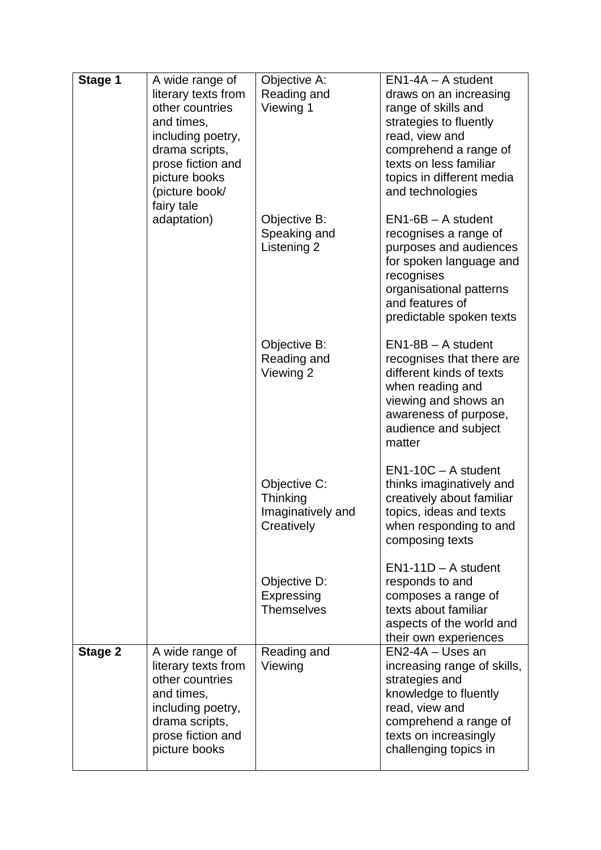| Stage 1        | A wide range of<br>literary texts from<br>other countries<br>and times,<br>including poetry,<br>drama scripts,<br>prose fiction and<br>picture books<br>(picture book/<br>fairy tale | Objective A:<br>Reading and<br>Viewing 1                    | $EN1-4A - A$ student<br>draws on an increasing<br>range of skills and<br>strategies to fluently<br>read, view and<br>comprehend a range of<br>texts on less familiar<br>topics in different media<br>and technologies |
|----------------|--------------------------------------------------------------------------------------------------------------------------------------------------------------------------------------|-------------------------------------------------------------|-----------------------------------------------------------------------------------------------------------------------------------------------------------------------------------------------------------------------|
|                | adaptation)                                                                                                                                                                          | Objective B:<br>Speaking and<br>Listening 2                 | $EN1-6B - A student$<br>recognises a range of<br>purposes and audiences<br>for spoken language and<br>recognises<br>organisational patterns<br>and features of<br>predictable spoken texts                            |
|                |                                                                                                                                                                                      | Objective B:<br>Reading and<br>Viewing 2                    | $EN1-8B - A student$<br>recognises that there are<br>different kinds of texts<br>when reading and<br>viewing and shows an<br>awareness of purpose,<br>audience and subject<br>matter                                  |
|                |                                                                                                                                                                                      | Objective C:<br>Thinking<br>Imaginatively and<br>Creatively | $EN1-10C - A student$<br>thinks imaginatively and<br>creatively about familiar<br>topics, ideas and texts<br>when responding to and<br>composing texts                                                                |
|                |                                                                                                                                                                                      | Objective D:<br>Expressing<br><b>Themselves</b>             | $EN1-11D - A student$<br>responds to and<br>composes a range of<br>texts about familiar<br>aspects of the world and<br>their own experiences                                                                          |
| <b>Stage 2</b> | A wide range of<br>literary texts from<br>other countries<br>and times,<br>including poetry,<br>drama scripts,<br>prose fiction and<br>picture books                                 | Reading and<br>Viewing                                      | EN2-4A - Uses an<br>increasing range of skills,<br>strategies and<br>knowledge to fluently<br>read, view and<br>comprehend a range of<br>texts on increasingly<br>challenging topics in                               |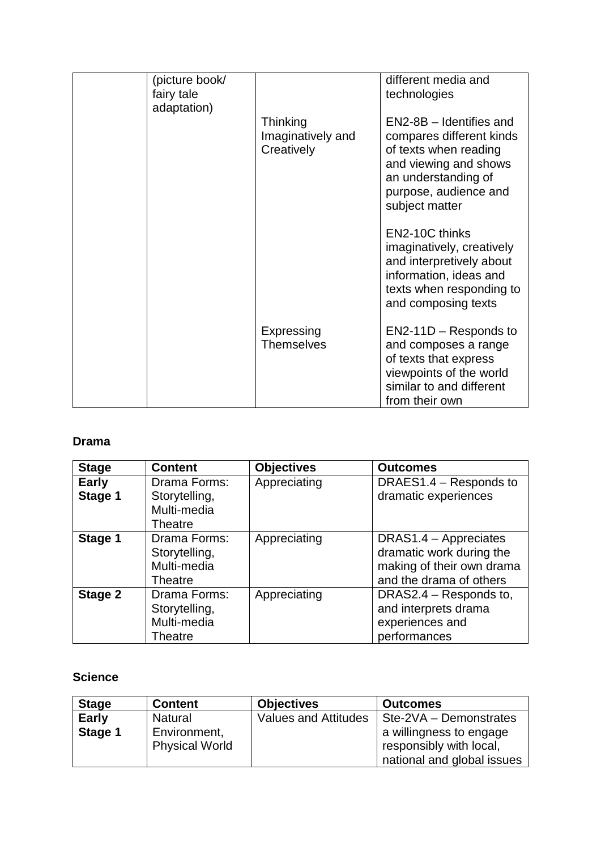| (picture book/<br>fairy tale<br>adaptation) |                                             | different media and<br>technologies                                                                                                                                     |
|---------------------------------------------|---------------------------------------------|-------------------------------------------------------------------------------------------------------------------------------------------------------------------------|
|                                             | Thinking<br>Imaginatively and<br>Creatively | EN2-8B - Identifies and<br>compares different kinds<br>of texts when reading<br>and viewing and shows<br>an understanding of<br>purpose, audience and<br>subject matter |
|                                             |                                             | EN2-10C thinks<br>imaginatively, creatively<br>and interpretively about<br>information, ideas and<br>texts when responding to<br>and composing texts                    |
|                                             | Expressing<br><b>Themselves</b>             | $EN2-11D -$ Responds to<br>and composes a range<br>of texts that express<br>viewpoints of the world<br>similar to and different<br>from their own                       |

### **Drama**

| <b>Stage</b>            | <b>Content</b>                                          | <b>Objectives</b> | <b>Outcomes</b>                                                                                           |
|-------------------------|---------------------------------------------------------|-------------------|-----------------------------------------------------------------------------------------------------------|
| <b>Early</b><br>Stage 1 | Drama Forms:<br>Storytelling,                           | Appreciating      | DRAES1.4 – Responds to<br>dramatic experiences                                                            |
|                         | Multi-media<br>Theatre                                  |                   |                                                                                                           |
| Stage 1                 | Drama Forms:<br>Storytelling,<br>Multi-media<br>Theatre | Appreciating      | DRAS1.4 - Appreciates<br>dramatic work during the<br>making of their own drama<br>and the drama of others |
| Stage 2                 | Drama Forms:<br>Storytelling,<br>Multi-media<br>Theatre | Appreciating      | DRAS2.4 – Responds to,<br>and interprets drama<br>experiences and<br>performances                         |

### **Science**

| <b>Stage</b> | <b>Content</b>        | <b>Objectives</b>           | <b>Outcomes</b>            |
|--------------|-----------------------|-----------------------------|----------------------------|
| <b>Early</b> | <b>Natural</b>        | <b>Values and Attitudes</b> | Ste-2VA - Demonstrates     |
| Stage 1      | Environment,          |                             | a willingness to engage    |
|              | <b>Physical World</b> |                             | responsibly with local,    |
|              |                       |                             | national and global issues |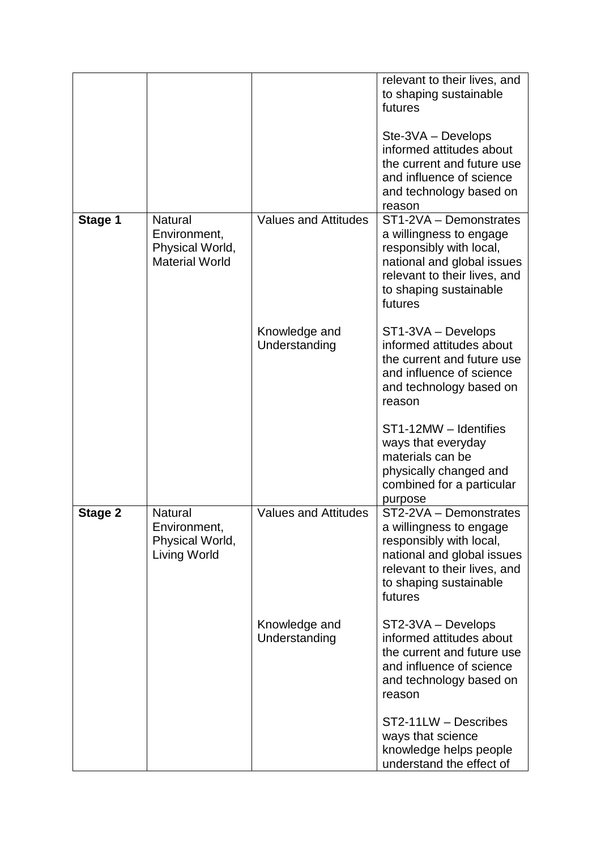|         |                                                                            |                                | relevant to their lives, and<br>to shaping sustainable<br>futures<br>Ste-3VA - Develops<br>informed attitudes about<br>the current and future use<br>and influence of science<br>and technology based on<br>reason |
|---------|----------------------------------------------------------------------------|--------------------------------|--------------------------------------------------------------------------------------------------------------------------------------------------------------------------------------------------------------------|
| Stage 1 | <b>Natural</b><br>Environment,<br>Physical World,<br><b>Material World</b> | <b>Values and Attitudes</b>    | ST1-2VA - Demonstrates<br>a willingness to engage<br>responsibly with local,<br>national and global issues<br>relevant to their lives, and<br>to shaping sustainable<br>futures                                    |
|         |                                                                            | Knowledge and<br>Understanding | ST1-3VA - Develops<br>informed attitudes about<br>the current and future use<br>and influence of science<br>and technology based on<br>reason                                                                      |
|         |                                                                            |                                | ST1-12MW - Identifies<br>ways that everyday<br>materials can be<br>physically changed and<br>combined for a particular<br>purpose                                                                                  |
| Stage 2 | <b>Natural</b><br>Environment,<br>Physical World,<br>Living World          | <b>Values and Attitudes</b>    | ST2-2VA - Demonstrates<br>a willingness to engage<br>responsibly with local,<br>national and global issues<br>relevant to their lives, and<br>to shaping sustainable<br>futures                                    |
|         |                                                                            | Knowledge and<br>Understanding | ST2-3VA - Develops<br>informed attitudes about<br>the current and future use<br>and influence of science<br>and technology based on<br>reason                                                                      |
|         |                                                                            |                                | ST2-11LW - Describes<br>ways that science<br>knowledge helps people<br>understand the effect of                                                                                                                    |